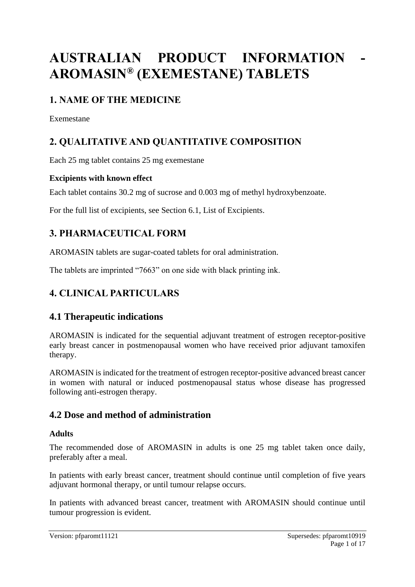# **AUSTRALIAN PRODUCT INFORMATION - AROMASIN® (EXEMESTANE) TABLETS**

# **1. NAME OF THE MEDICINE**

Exemestane

# **2. QUALITATIVE AND QUANTITATIVE COMPOSITION**

Each 25 mg tablet contains 25 mg exemestane

### **Excipients with known effect**

Each tablet contains 30.2 mg of sucrose and 0.003 mg of methyl hydroxybenzoate.

For the full list of excipients, see Section 6.1, List of Excipients.

# **3. PHARMACEUTICAL FORM**

AROMASIN tablets are sugar-coated tablets for oral administration.

The tablets are imprinted "7663" on one side with black printing ink.

# **4. CLINICAL PARTICULARS**

### **4.1 Therapeutic indications**

AROMASIN is indicated for the sequential adjuvant treatment of estrogen receptor-positive early breast cancer in postmenopausal women who have received prior adjuvant tamoxifen therapy.

AROMASIN is indicated for the treatment of estrogen receptor-positive advanced breast cancer in women with natural or induced postmenopausal status whose disease has progressed following anti-estrogen therapy.

### **4.2 Dose and method of administration**

### **Adults**

The recommended dose of AROMASIN in adults is one 25 mg tablet taken once daily, preferably after a meal.

In patients with early breast cancer, treatment should continue until completion of five years adjuvant hormonal therapy, or until tumour relapse occurs.

In patients with advanced breast cancer, treatment with AROMASIN should continue until tumour progression is evident.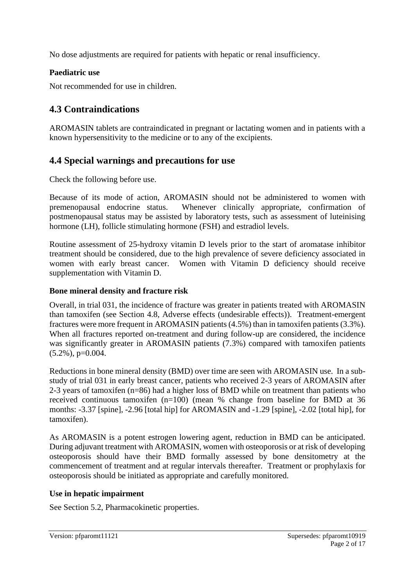No dose adjustments are required for patients with hepatic or renal insufficiency.

### **Paediatric use**

Not recommended for use in children.

# **4.3 Contraindications**

AROMASIN tablets are contraindicated in pregnant or lactating women and in patients with a known hypersensitivity to the medicine or to any of the excipients.

# **4.4 Special warnings and precautions for use**

Check the following before use.

Because of its mode of action, AROMASIN should not be administered to women with premenopausal endocrine status. Whenever clinically appropriate, confirmation of postmenopausal status may be assisted by laboratory tests, such as assessment of luteinising hormone (LH), follicle stimulating hormone (FSH) and estradiol levels.

Routine assessment of 25-hydroxy vitamin D levels prior to the start of aromatase inhibitor treatment should be considered, due to the high prevalence of severe deficiency associated in women with early breast cancer. Women with Vitamin D deficiency should receive supplementation with Vitamin D.

### **Bone mineral density and fracture risk**

Overall, in trial 031, the incidence of fracture was greater in patients treated with AROMASIN than tamoxifen (see Section 4.8, Adverse effects (undesirable effects)). Treatment-emergent fractures were more frequent in AROMASIN patients (4.5%) than in tamoxifen patients (3.3%). When all fractures reported on-treatment and during follow-up are considered, the incidence was significantly greater in AROMASIN patients (7.3%) compared with tamoxifen patients  $(5.2\%)$ , p=0.004.

Reductions in bone mineral density (BMD) over time are seen with AROMASIN use. In a substudy of trial 031 in early breast cancer, patients who received 2-3 years of AROMASIN after 2-3 years of tamoxifen (n=86) had a higher loss of BMD while on treatment than patients who received continuous tamoxifen (n=100) (mean % change from baseline for BMD at 36 months: -3.37 [spine], -2.96 [total hip] for AROMASIN and -1.29 [spine], -2.02 [total hip], for tamoxifen).

As AROMASIN is a potent estrogen lowering agent, reduction in BMD can be anticipated. During adjuvant treatment with AROMASIN, women with osteoporosis or at risk of developing osteoporosis should have their BMD formally assessed by bone densitometry at the commencement of treatment and at regular intervals thereafter. Treatment or prophylaxis for osteoporosis should be initiated as appropriate and carefully monitored.

### **Use in hepatic impairment**

See Section 5.2, Pharmacokinetic properties.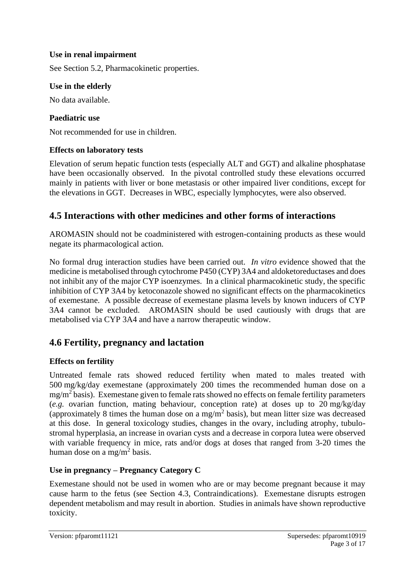### **Use in renal impairment**

See Section 5.2, Pharmacokinetic properties.

### **Use in the elderly**

No data available.

#### **Paediatric use**

Not recommended for use in children.

### **Effects on laboratory tests**

Elevation of serum hepatic function tests (especially ALT and GGT) and alkaline phosphatase have been occasionally observed. In the pivotal controlled study these elevations occurred mainly in patients with liver or bone metastasis or other impaired liver conditions, except for the elevations in GGT. Decreases in WBC, especially lymphocytes, were also observed.

### **4.5 Interactions with other medicines and other forms of interactions**

AROMASIN should not be coadministered with estrogen-containing products as these would negate its pharmacological action.

No formal drug interaction studies have been carried out. *In vitro* evidence showed that the medicine is metabolised through cytochrome P450 (CYP) 3A4 and aldoketoreductases and does not inhibit any of the major CYP isoenzymes. In a clinical pharmacokinetic study, the specific inhibition of CYP 3A4 by ketoconazole showed no significant effects on the pharmacokinetics of exemestane. A possible decrease of exemestane plasma levels by known inducers of CYP 3A4 cannot be excluded. AROMASIN should be used cautiously with drugs that are metabolised via CYP 3A4 and have a narrow therapeutic window.

### **4.6 Fertility, pregnancy and lactation**

### **Effects on fertility**

Untreated female rats showed reduced fertility when mated to males treated with 500 mg/kg/day exemestane (approximately 200 times the recommended human dose on a mg/m<sup>2</sup> basis). Exemestane given to female rats showed no effects on female fertility parameters (*e.g.* ovarian function, mating behaviour, conception rate) at doses up to 20 mg/kg/day (approximately 8 times the human dose on a mg/m<sup>2</sup> basis), but mean litter size was decreased at this dose. In general toxicology studies, changes in the ovary, including atrophy, tubulostromal hyperplasia, an increase in ovarian cysts and a decrease in corpora lutea were observed with variable frequency in mice, rats and/or dogs at doses that ranged from 3-20 times the human dose on a mg/m<sup>2</sup> basis.

### **Use in pregnancy – Pregnancy Category C**

Exemestane should not be used in women who are or may become pregnant because it may cause harm to the fetus (see Section 4.3, Contraindications). Exemestane disrupts estrogen dependent metabolism and may result in abortion. Studies in animals have shown reproductive toxicity.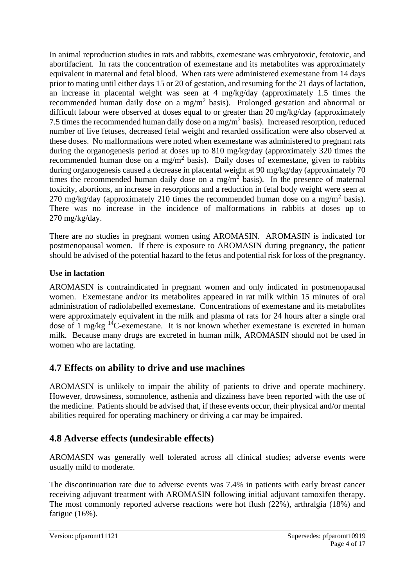In animal reproduction studies in rats and rabbits, exemestane was embryotoxic, fetotoxic, and abortifacient. In rats the concentration of exemestane and its metabolites was approximately equivalent in maternal and fetal blood. When rats were administered exemestane from 14 days prior to mating until either days 15 or 20 of gestation, and resuming for the 21 days of lactation, an increase in placental weight was seen at 4 mg/kg/day (approximately 1.5 times the recommended human daily dose on a mg/m<sup>2</sup> basis). Prolonged gestation and abnormal or difficult labour were observed at doses equal to or greater than 20 mg/kg/day (approximately 7.5 times the recommended human daily dose on a mg/m<sup>2</sup> basis). Increased resorption, reduced number of live fetuses, decreased fetal weight and retarded ossification were also observed at these doses. No malformations were noted when exemestane was administered to pregnant rats during the organogenesis period at doses up to 810 mg/kg/day (approximately 320 times the recommended human dose on a mg/m<sup>2</sup> basis). Daily doses of exemestane, given to rabbits during organogenesis caused a decrease in placental weight at 90 mg/kg/day (approximately 70 times the recommended human daily dose on a mg/m<sup>2</sup> basis). In the presence of maternal toxicity, abortions, an increase in resorptions and a reduction in fetal body weight were seen at 270 mg/kg/day (approximately 210 times the recommended human dose on a mg/m<sup>2</sup> basis). There was no increase in the incidence of malformations in rabbits at doses up to 270 mg/kg/day.

There are no studies in pregnant women using AROMASIN. AROMASIN is indicated for postmenopausal women. If there is exposure to AROMASIN during pregnancy, the patient should be advised of the potential hazard to the fetus and potential risk for loss of the pregnancy.

### **Use in lactation**

AROMASIN is contraindicated in pregnant women and only indicated in postmenopausal women. Exemestane and/or its metabolites appeared in rat milk within 15 minutes of oral administration of radiolabelled exemestane. Concentrations of exemestane and its metabolites were approximately equivalent in the milk and plasma of rats for 24 hours after a single oral dose of 1 mg/kg <sup>14</sup>C-exemestane. It is not known whether exemestane is excreted in human milk. Because many drugs are excreted in human milk, AROMASIN should not be used in women who are lactating.

# **4.7 Effects on ability to drive and use machines**

AROMASIN is unlikely to impair the ability of patients to drive and operate machinery. However, drowsiness, somnolence, asthenia and dizziness have been reported with the use of the medicine. Patients should be advised that, if these events occur, their physical and/or mental abilities required for operating machinery or driving a car may be impaired.

# **4.8 Adverse effects (undesirable effects)**

AROMASIN was generally well tolerated across all clinical studies; adverse events were usually mild to moderate.

The discontinuation rate due to adverse events was 7.4% in patients with early breast cancer receiving adjuvant treatment with AROMASIN following initial adjuvant tamoxifen therapy. The most commonly reported adverse reactions were hot flush (22%), arthralgia (18%) and fatigue (16%).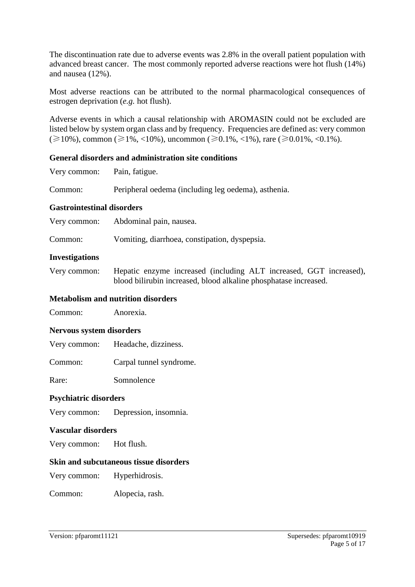The discontinuation rate due to adverse events was 2.8% in the overall patient population with advanced breast cancer. The most commonly reported adverse reactions were hot flush (14%) and nausea (12%).

Most adverse reactions can be attributed to the normal pharmacological consequences of estrogen deprivation (*e.g.* hot flush).

Adverse events in which a causal relationship with AROMASIN could not be excluded are listed below by system organ class and by frequency. Frequencies are defined as: very common (≥10%), common (≥1%, <10%), uncommon (≥0.1%, <1%), rare (≥0.01%, <0.1%).

#### **General disorders and administration site conditions**

Very common: Pain, fatigue.

Common: Peripheral oedema (including leg oedema), asthenia.

#### **Gastrointestinal disorders**

| Very common: | Abdominal pain, nausea. |
|--------------|-------------------------|
|--------------|-------------------------|

Common: Vomiting, diarrhoea, constipation, dyspepsia.

#### **Investigations**

Very common: Hepatic enzyme increased (including ALT increased, GGT increased), blood bilirubin increased, blood alkaline phosphatase increased.

#### **Metabolism and nutrition disorders**

Common: Anorexia.

#### **Nervous system disorders**

Very common: Headache, dizziness.

Common: Carpal tunnel syndrome.

Rare: Somnolence

#### **Psychiatric disorders**

Very common: Depression, insomnia.

#### **Vascular disorders**

Very common: Hot flush.

#### **Skin and subcutaneous tissue disorders**

Very common: Hyperhidrosis.

Common: Alopecia, rash.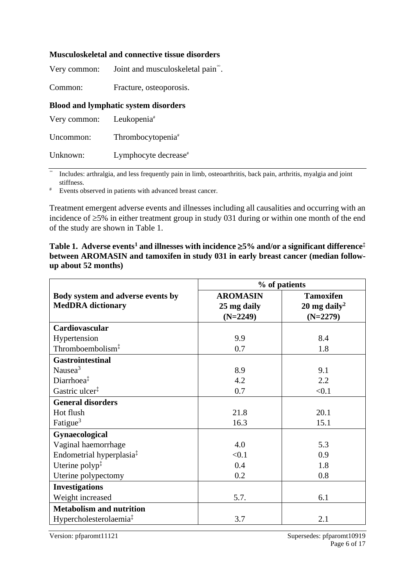#### **Musculoskeletal and connective tissue disorders**

| Very common: | Joint and musculoskeletal pain <sup>®</sup> . |  |
|--------------|-----------------------------------------------|--|
|              |                                               |  |

Common: Fracture, osteoporosis.

#### **Blood and lymphatic system disorders**

| Very common: | Leukopenia <sup>#</sup>       |
|--------------|-------------------------------|
| Uncommon:    | Thrombocytopenia <sup>#</sup> |

Unknown: Lymphocyte decrease<sup>#</sup>

∞ Includes: arthralgia, and less frequently pain in limb, osteoarthritis, back pain, arthritis, myalgia and joint stiffness.

# Events observed in patients with advanced breast cancer.

Treatment emergent adverse events and illnesses including all causalities and occurring with an incidence of  $\geq$ 5% in either treatment group in study 031 during or within one month of the end of the study are shown in Table 1.

| Table 1. Adverse events <sup>1</sup> and illnesses with incidence $\geq$ 5% and/or a significant difference <sup>†</sup> |  |
|--------------------------------------------------------------------------------------------------------------------------|--|
| between AROMASIN and tamoxifen in study 031 in early breast cancer (median follow-                                       |  |
| up about 52 months)                                                                                                      |  |

|                                      | % of patients   |                          |  |
|--------------------------------------|-----------------|--------------------------|--|
| Body system and adverse events by    | <b>AROMASIN</b> | <b>Tamoxifen</b>         |  |
| <b>MedDRA</b> dictionary             | 25 mg daily     | 20 mg daily <sup>2</sup> |  |
|                                      | $(N=2249)$      | $(N=2279)$               |  |
| <b>Cardiovascular</b>                |                 |                          |  |
| Hypertension                         | 9.9             | 8.4                      |  |
| Thromboembolism <sup>‡</sup>         | 0.7             | 1.8                      |  |
| <b>Gastrointestinal</b>              |                 |                          |  |
| Nausea <sup>3</sup>                  | 8.9             | 9.1                      |  |
| Diarrhoea <sup>‡</sup>               | 4.2             | 2.2                      |  |
| Gastric ulcer <sup>‡</sup>           | 0.7             | < 0.1                    |  |
| <b>General disorders</b>             |                 |                          |  |
| Hot flush                            | 21.8            | 20.1                     |  |
| Fatigue <sup>3</sup>                 | 16.3            | 15.1                     |  |
| Gynaecological                       |                 |                          |  |
| Vaginal haemorrhage                  | 4.0             | 5.3                      |  |
| Endometrial hyperplasia <sup>‡</sup> | < 0.1           | 0.9                      |  |
| Uterine polyp $\ddagger$             | 0.4             | 1.8                      |  |
| Uterine polypectomy                  | 0.2             | 0.8                      |  |
| <b>Investigations</b>                |                 |                          |  |
| Weight increased                     | 5.7.            | 6.1                      |  |
| <b>Metabolism and nutrition</b>      |                 |                          |  |
| Hypercholesterolaemia <sup>‡</sup>   | 3.7             | 2.1                      |  |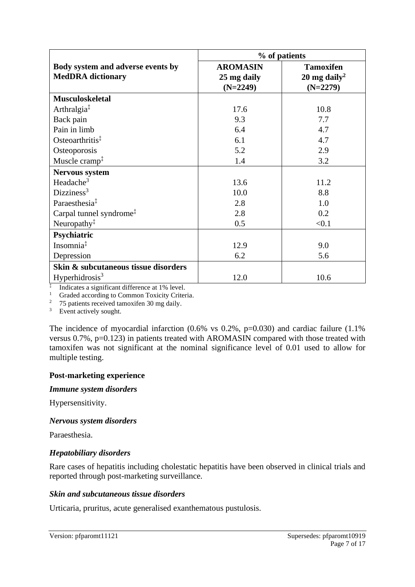|                                                               | % of patients                                |                                                            |  |
|---------------------------------------------------------------|----------------------------------------------|------------------------------------------------------------|--|
| Body system and adverse events by<br><b>MedDRA</b> dictionary | <b>AROMASIN</b><br>25 mg daily<br>$(N=2249)$ | <b>Tamoxifen</b><br>20 mg daily <sup>2</sup><br>$(N=2279)$ |  |
| <b>Musculoskeletal</b>                                        |                                              |                                                            |  |
| Arthralgia <sup>†</sup>                                       | 17.6                                         | 10.8                                                       |  |
| Back pain                                                     | 9.3                                          | 7.7                                                        |  |
| Pain in limb                                                  | 6.4                                          | 4.7                                                        |  |
| Osteoarthritis <sup>‡</sup>                                   | 6.1                                          | 4.7                                                        |  |
| Osteoporosis                                                  | 5.2                                          | 2.9                                                        |  |
| Muscle cramp <sup>‡</sup>                                     | 1.4                                          | 3.2                                                        |  |
| <b>Nervous system</b>                                         |                                              |                                                            |  |
| Headache $3$                                                  | 13.6                                         | 11.2                                                       |  |
| Dizziness <sup>3</sup>                                        | 10.0                                         | 8.8                                                        |  |
| Paraesthesia <sup>‡</sup>                                     | 2.8                                          | 1.0                                                        |  |
| Carpal tunnel syndrome <sup>‡</sup>                           | 2.8                                          | 0.2                                                        |  |
| Neuropathy <sup>‡</sup>                                       | 0.5                                          | < 0.1                                                      |  |
| Psychiatric                                                   |                                              |                                                            |  |
| Insomnia $\ddagger$                                           | 12.9                                         | 9.0                                                        |  |
| Depression                                                    | 6.2                                          | 5.6                                                        |  |
| Skin & subcutaneous tissue disorders                          |                                              |                                                            |  |
| Hyperhidrosis $3$                                             | 12.0                                         | 10.6                                                       |  |

‡ Indicates a significant difference at 1% level.

<sup>1</sup> Graded according to Common Toxicity Criteria.

<sup>2</sup> 75 patients received tamoxifen 30 mg daily.

<sup>3</sup> Event actively sought.

The incidence of myocardial infarction  $(0.6\%$  vs  $0.2\%$ , p=0.030) and cardiac failure  $(1.1\%$ versus 0.7%, p=0.123) in patients treated with AROMASIN compared with those treated with tamoxifen was not significant at the nominal significance level of 0.01 used to allow for multiple testing.

#### **Post-marketing experience**

#### *Immune system disorders*

Hypersensitivity.

#### *Nervous system disorders*

Paraesthesia.

#### *Hepatobiliary disorders*

Rare cases of hepatitis including cholestatic hepatitis have been observed in clinical trials and reported through post-marketing surveillance.

#### *Skin and subcutaneous tissue disorders*

Urticaria, pruritus, acute generalised exanthematous pustulosis.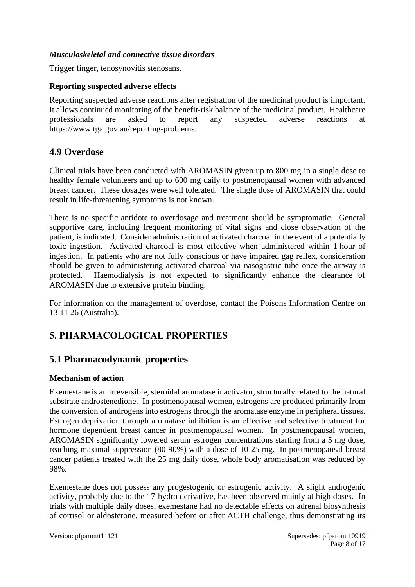#### *Musculoskeletal and connective tissue disorders*

Trigger finger, tenosynovitis stenosans.

#### **Reporting suspected adverse effects**

Reporting suspected adverse reactions after registration of the medicinal product is important. It allows continued monitoring of the benefit-risk balance of the medicinal product. Healthcare professionals are asked to report any suspected adverse reactions at https://www.tga.gov.au/reporting-problems.

### **4.9 Overdose**

Clinical trials have been conducted with AROMASIN given up to 800 mg in a single dose to healthy female volunteers and up to 600 mg daily to postmenopausal women with advanced breast cancer. These dosages were well tolerated. The single dose of AROMASIN that could result in life-threatening symptoms is not known.

There is no specific antidote to overdosage and treatment should be symptomatic. General supportive care, including frequent monitoring of vital signs and close observation of the patient, is indicated. Consider administration of activated charcoal in the event of a potentially toxic ingestion. Activated charcoal is most effective when administered within 1 hour of ingestion. In patients who are not fully conscious or have impaired gag reflex, consideration should be given to administering activated charcoal via nasogastric tube once the airway is protected. Haemodialysis is not expected to significantly enhance the clearance of AROMASIN due to extensive protein binding.

For information on the management of overdose, contact the Poisons Information Centre on 13 11 26 (Australia).

### **5. PHARMACOLOGICAL PROPERTIES**

### **5.1 Pharmacodynamic properties**

### **Mechanism of action**

Exemestane is an irreversible, steroidal aromatase inactivator, structurally related to the natural substrate androstenedione. In postmenopausal women, estrogens are produced primarily from the conversion of androgens into estrogens through the aromatase enzyme in peripheral tissues. Estrogen deprivation through aromatase inhibition is an effective and selective treatment for hormone dependent breast cancer in postmenopausal women. In postmenopausal women, AROMASIN significantly lowered serum estrogen concentrations starting from a 5 mg dose, reaching maximal suppression (80-90%) with a dose of 10-25 mg. In postmenopausal breast cancer patients treated with the 25 mg daily dose, whole body aromatisation was reduced by 98%.

Exemestane does not possess any progestogenic or estrogenic activity. A slight androgenic activity, probably due to the 17-hydro derivative, has been observed mainly at high doses. In trials with multiple daily doses, exemestane had no detectable effects on adrenal biosynthesis of cortisol or aldosterone, measured before or after ACTH challenge, thus demonstrating its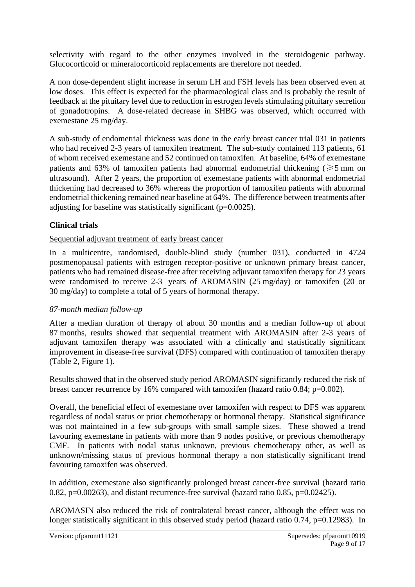selectivity with regard to the other enzymes involved in the steroidogenic pathway. Glucocorticoid or mineralocorticoid replacements are therefore not needed.

A non dose-dependent slight increase in serum LH and FSH levels has been observed even at low doses. This effect is expected for the pharmacological class and is probably the result of feedback at the pituitary level due to reduction in estrogen levels stimulating pituitary secretion of gonadotropins. A dose-related decrease in SHBG was observed, which occurred with exemestane 25 mg/day.

A sub-study of endometrial thickness was done in the early breast cancer trial 031 in patients who had received 2-3 years of tamoxifen treatment. The sub-study contained 113 patients, 61 of whom received exemestane and 52 continued on tamoxifen. At baseline, 64% of exemestane patients and 63% of tamoxifen patients had abnormal endometrial thickening ( $\geq 5$  mm on ultrasound). After 2 years, the proportion of exemestane patients with abnormal endometrial thickening had decreased to 36% whereas the proportion of tamoxifen patients with abnormal endometrial thickening remained near baseline at 64%. The difference between treatments after adjusting for baseline was statistically significant (p=0.0025).

### **Clinical trials**

### Sequential adjuvant treatment of early breast cancer

In a multicentre, randomised, double-blind study (number 031), conducted in 4724 postmenopausal patients with estrogen receptor-positive or unknown primary breast cancer, patients who had remained disease-free after receiving adjuvant tamoxifen therapy for 23 years were randomised to receive 2-3 years of AROMASIN (25 mg/day) or tamoxifen (20 or 30 mg/day) to complete a total of 5 years of hormonal therapy.

### *87-month median follow-up*

After a median duration of therapy of about 30 months and a median follow-up of about 87 months, results showed that sequential treatment with AROMASIN after 2-3 years of adjuvant tamoxifen therapy was associated with a clinically and statistically significant improvement in disease-free survival (DFS) compared with continuation of tamoxifen therapy (Table 2, Figure 1).

Results showed that in the observed study period AROMASIN significantly reduced the risk of breast cancer recurrence by 16% compared with tamoxifen (hazard ratio 0.84; p=0.002).

Overall, the beneficial effect of exemestane over tamoxifen with respect to DFS was apparent regardless of nodal status or prior chemotherapy or hormonal therapy. Statistical significance was not maintained in a few sub-groups with small sample sizes. These showed a trend favouring exemestane in patients with more than 9 nodes positive, or previous chemotherapy CMF. In patients with nodal status unknown, previous chemotherapy other, as well as unknown/missing status of previous hormonal therapy a non statistically significant trend favouring tamoxifen was observed.

In addition, exemestane also significantly prolonged breast cancer-free survival (hazard ratio 0.82,  $p=0.00263$ ), and distant recurrence-free survival (hazard ratio 0.85,  $p=0.02425$ ).

AROMASIN also reduced the risk of contralateral breast cancer, although the effect was no longer statistically significant in this observed study period (hazard ratio 0.74, p=0.12983). In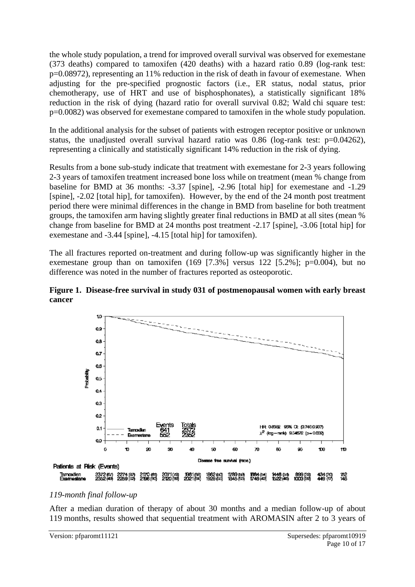the whole study population, a trend for improved overall survival was observed for exemestane (373 deaths) compared to tamoxifen (420 deaths) with a hazard ratio 0.89 (log-rank test: p=0.08972), representing an 11% reduction in the risk of death in favour of exemestane. When adjusting for the pre-specified prognostic factors (i.e., ER status, nodal status, prior chemotherapy, use of HRT and use of bisphosphonates), a statistically significant 18% reduction in the risk of dying (hazard ratio for overall survival 0.82; Wald chi square test: p=0.0082) was observed for exemestane compared to tamoxifen in the whole study population.

In the additional analysis for the subset of patients with estrogen receptor positive or unknown status, the unadjusted overall survival hazard ratio was  $0.86$  (log-rank test:  $p=0.04262$ ), representing a clinically and statistically significant 14% reduction in the risk of dying.

Results from a bone sub-study indicate that treatment with exemestane for 2-3 years following 2-3 years of tamoxifen treatment increased bone loss while on treatment (mean % change from baseline for BMD at 36 months: -3.37 [spine], -2.96 [total hip] for exemestane and -1.29 [spine], -2.02 [total hip], for tamoxifen). However, by the end of the 24 month post treatment period there were minimal differences in the change in BMD from baseline for both treatment groups, the tamoxifen arm having slightly greater final reductions in BMD at all sites (mean % change from baseline for BMD at 24 months post treatment -2.17 [spine], -3.06 [total hip] for exemestane and -3.44 [spine], -4.15 [total hip] for tamoxifen).

The all fractures reported on-treatment and during follow-up was significantly higher in the exemestane group than on tamoxifen  $(169 \t{7.3\%}]$  versus 122 [5.2%]; p=0.004), but no difference was noted in the number of fractures reported as osteoporotic.

**Figure 1. Disease-free survival in study 031 of postmenopausal women with early breast cancer**



#### *119-month final follow-up*

After a median duration of therapy of about 30 months and a median follow-up of about 119 months, results showed that sequential treatment with AROMASIN after 2 to 3 years of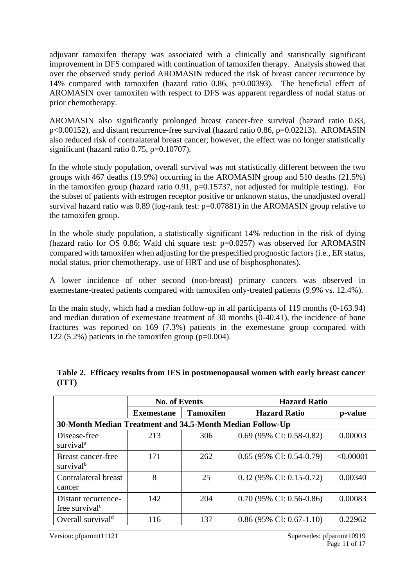adjuvant tamoxifen therapy was associated with a clinically and statistically significant improvement in DFS compared with continuation of tamoxifen therapy. Analysis showed that over the observed study period AROMASIN reduced the risk of breast cancer recurrence by 14% compared with tamoxifen (hazard ratio 0.86, p=0.00393). The beneficial effect of AROMASIN over tamoxifen with respect to DFS was apparent regardless of nodal status or prior chemotherapy.

AROMASIN also significantly prolonged breast cancer-free survival (hazard ratio 0.83, p<0.00152), and distant recurrence-free survival (hazard ratio 0.86, p=0.02213). AROMASIN also reduced risk of contralateral breast cancer; however, the effect was no longer statistically significant (hazard ratio  $0.75$ ,  $p=0.10707$ ).

In the whole study population, overall survival was not statistically different between the two groups with 467 deaths (19.9%) occurring in the AROMASIN group and 510 deaths (21.5%) in the tamoxifen group (hazard ratio 0.91,  $p=0.15737$ , not adjusted for multiple testing). For the subset of patients with estrogen receptor positive or unknown status, the unadjusted overall survival hazard ratio was 0.89 (log-rank test:  $p=0.07881$ ) in the AROMASIN group relative to the tamoxifen group.

In the whole study population, a statistically significant 14% reduction in the risk of dying (hazard ratio for OS 0.86; Wald chi square test:  $p=0.0257$ ) was observed for AROMASIN compared with tamoxifen when adjusting for the prespecified prognostic factors (i.e., ER status, nodal status, prior chemotherapy, use of HRT and use of bisphosphonates).

A lower incidence of other second (non-breast) primary cancers was observed in exemestane-treated patients compared with tamoxifen only-treated patients (9.9% vs. 12.4%).

In the main study, which had a median follow-up in all participants of 119 months (0-163.94) and median duration of exemestane treatment of 30 months (0-40.41), the incidence of bone fractures was reported on 169 (7.3%) patients in the exemestane group compared with 122 (5.2%) patients in the tamoxifen group ( $p=0.004$ ).

|                                                           | <b>No. of Events</b> |                  | <b>Hazard Ratio</b>                 |           |
|-----------------------------------------------------------|----------------------|------------------|-------------------------------------|-----------|
|                                                           | <b>Exemestane</b>    | <b>Tamoxifen</b> | <b>Hazard Ratio</b>                 | p-value   |
| 30-Month Median Treatment and 34.5-Month Median Follow-Up |                      |                  |                                     |           |
| Disease-free<br>survival <sup>a</sup>                     | 213                  | 306              | 0.69 (95% CI: 0.58-0.82)            | 0.00003   |
| Breast cancer-free<br>survival <sup>b</sup>               | 171                  | 262              | $0.65$ (95% CI: 0.54-0.79)          | < 0.00001 |
| Contralateral breast<br>cancer                            | 8                    | 25               | $0.32$ (95% CI: 0.15-0.72)          | 0.00340   |
| Distant recurrence-<br>free survival <sup>c</sup>         | 142                  | 204              | $0.70(95\% \text{ CI: } 0.56-0.86)$ | 0.00083   |
| Overall survival <sup>d</sup>                             | 116                  | 137              | $0.86$ (95% CI: 0.67-1.10)          | 0.22962   |

**Table 2. Efficacy results from IES in postmenopausal women with early breast cancer (ITT)**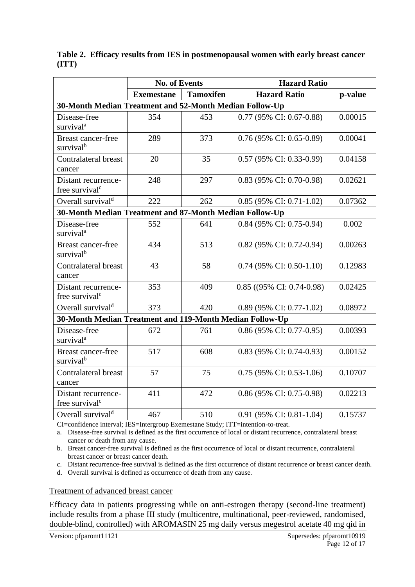|                                                          | <b>No. of Events</b> |                  | <b>Hazard Ratio</b>                 |         |
|----------------------------------------------------------|----------------------|------------------|-------------------------------------|---------|
|                                                          | <b>Exemestane</b>    | <b>Tamoxifen</b> | <b>Hazard Ratio</b>                 | p-value |
| 30-Month Median Treatment and 52-Month Median Follow-Up  |                      |                  |                                     |         |
| Disease-free<br>survival <sup>a</sup>                    | 354                  | 453              | 0.77 (95% CI: 0.67-0.88)            | 0.00015 |
| Breast cancer-free<br>survival <sup>b</sup>              | 289                  | 373              | $0.76$ (95% CI: 0.65-0.89)          | 0.00041 |
| Contralateral breast<br>cancer                           | 20                   | 35               | 0.57 (95% CI: 0.33-0.99)            | 0.04158 |
| Distant recurrence-<br>free survival <sup>c</sup>        | 248                  | 297              | 0.83 (95% CI: 0.70-0.98)            | 0.02621 |
| Overall survival <sup>d</sup>                            | 222                  | 262              | $0.85$ (95% CI: 0.71-1.02)          | 0.07362 |
| 30-Month Median Treatment and 87-Month Median Follow-Up  |                      |                  |                                     |         |
| Disease-free<br>survival <sup>a</sup>                    | 552                  | 641              | 0.84 (95% CI: 0.75-0.94)            | 0.002   |
| <b>Breast cancer-free</b><br>survival <sup>b</sup>       | 434                  | 513              | 0.82 (95% CI: 0.72-0.94)            | 0.00263 |
| Contralateral breast<br>cancer                           | 43                   | 58               | $0.74$ (95% CI: 0.50-1.10)          | 0.12983 |
| Distant recurrence-<br>free survival <sup>c</sup>        | 353                  | 409              | $0.85$ ((95% CI: 0.74-0.98)         | 0.02425 |
| Overall survival <sup>d</sup>                            | 373                  | 420              | 0.89 (95% CI: 0.77-1.02)            | 0.08972 |
| 30-Month Median Treatment and 119-Month Median Follow-Up |                      |                  |                                     |         |
| Disease-free<br>survival <sup>a</sup>                    | 672                  | 761              | 0.86 (95% CI: 0.77-0.95)            | 0.00393 |
| Breast cancer-free<br>survival <sup>b</sup>              | 517                  | 608              | 0.83 (95% CI: 0.74-0.93)            | 0.00152 |
| <b>Contralateral breast</b><br>cancer                    | 57                   | 75               | $0.75(95\% \text{ CI: } 0.53-1.06)$ | 0.10707 |
| Distant recurrence-<br>free survival <sup>c</sup>        | 411                  | 472              | 0.86 (95% CI: 0.75-0.98)            | 0.02213 |
| Overall survival <sup>d</sup>                            | 467                  | 510              | 0.91 (95% CI: 0.81-1.04)            | 0.15737 |

**Table 2. Efficacy results from IES in postmenopausal women with early breast cancer (ITT)**

CI=confidence interval; IES=Intergroup Exemestane Study; ITT=intention-to-treat.

<span id="page-11-0"></span>a. Disease-free survival is defined as the first occurrence of local or distant recurrence, contralateral breast cancer or death from any cause.

<span id="page-11-1"></span>b. Breast cancer-free survival is defined as the first occurrence of local or distant recurrence, contralateral breast cancer or breast cancer death.

<span id="page-11-2"></span>c. Distant recurrence-free survival is defined as the first occurrence of distant recurrence or breast cancer death.

<span id="page-11-3"></span>d. Overall survival is defined as occurrence of death from any cause.

#### Treatment of advanced breast cancer

Efficacy data in patients progressing while on anti-estrogen therapy (second-line treatment) include results from a phase III study (multicentre, multinational, peer-reviewed, randomised, double-blind, controlled) with AROMASIN 25 mg daily versus megestrol acetate 40 mg qid in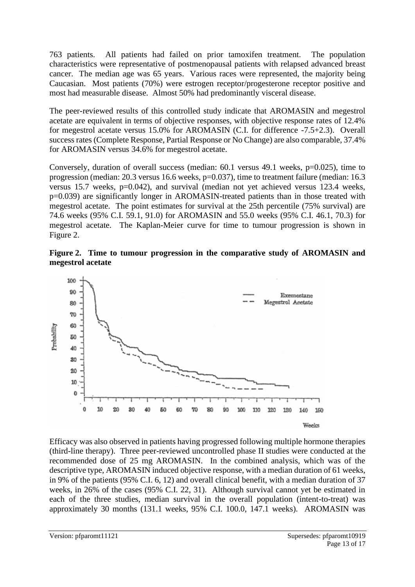763 patients. All patients had failed on prior tamoxifen treatment. The population characteristics were representative of postmenopausal patients with relapsed advanced breast cancer. The median age was 65 years. Various races were represented, the majority being Caucasian. Most patients (70%) were estrogen receptor/progesterone receptor positive and most had measurable disease. Almost 50% had predominantly visceral disease.

The peer-reviewed results of this controlled study indicate that AROMASIN and megestrol acetate are equivalent in terms of objective responses, with objective response rates of 12.4% for megestrol acetate versus 15.0% for AROMASIN (C.I. for difference -7.5+2.3). Overall success rates (Complete Response, Partial Response or No Change) are also comparable, 37.4% for AROMASIN versus 34.6% for megestrol acetate.

Conversely, duration of overall success (median:  $60.1$  versus 49.1 weeks,  $p=0.025$ ), time to progression (median: 20.3 versus 16.6 weeks, p=0.037), time to treatment failure (median: 16.3 versus 15.7 weeks, p=0.042), and survival (median not yet achieved versus 123.4 weeks, p=0.039) are significantly longer in AROMASIN-treated patients than in those treated with megestrol acetate. The point estimates for survival at the 25th percentile (75% survival) are 74.6 weeks (95% C.I. 59.1, 91.0) for AROMASIN and 55.0 weeks (95% C.I. 46.1, 70.3) for megestrol acetate. The Kaplan-Meier curve for time to tumour progression is shown in Figure 2.

**Figure 2. Time to tumour progression in the comparative study of AROMASIN and megestrol acetate**



Efficacy was also observed in patients having progressed following multiple hormone therapies (third-line therapy). Three peer-reviewed uncontrolled phase II studies were conducted at the recommended dose of 25 mg AROMASIN. In the combined analysis, which was of the descriptive type, AROMASIN induced objective response, with a median duration of 61 weeks, in 9% of the patients (95% C.I. 6, 12) and overall clinical benefit, with a median duration of 37 weeks, in 26% of the cases (95% C.I. 22, 31). Although survival cannot yet be estimated in each of the three studies, median survival in the overall population (intent-to-treat) was approximately 30 months (131.1 weeks, 95% C.I. 100.0, 147.1 weeks). AROMASIN was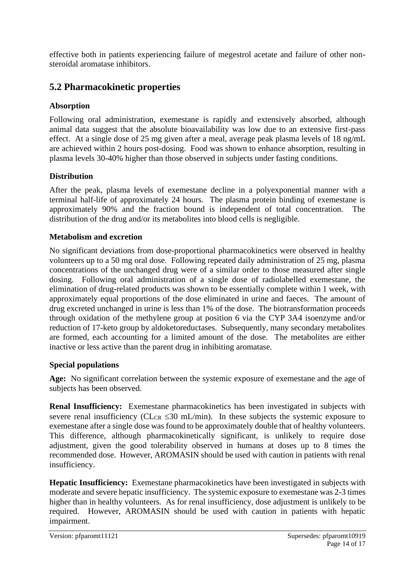effective both in patients experiencing failure of megestrol acetate and failure of other nonsteroidal aromatase inhibitors.

# **5.2 Pharmacokinetic properties**

### **Absorption**

Following oral administration, exemestane is rapidly and extensively absorbed, although animal data suggest that the absolute bioavailability was low due to an extensive first-pass effect. At a single dose of 25 mg given after a meal, average peak plasma levels of 18 ng/mL are achieved within 2 hours post-dosing. Food was shown to enhance absorption, resulting in plasma levels 30-40% higher than those observed in subjects under fasting conditions.

### **Distribution**

After the peak, plasma levels of exemestane decline in a polyexponential manner with a terminal half-life of approximately 24 hours. The plasma protein binding of exemestane is approximately 90% and the fraction bound is independent of total concentration. distribution of the drug and/or its metabolites into blood cells is negligible.

### **Metabolism and excretion**

No significant deviations from dose-proportional pharmacokinetics were observed in healthy volunteers up to a 50 mg oral dose. Following repeated daily administration of 25 mg, plasma concentrations of the unchanged drug were of a similar order to those measured after single dosing. Following oral administration of a single dose of radiolabelled exemestane, the elimination of drug-related products was shown to be essentially complete within 1 week, with approximately equal proportions of the dose eliminated in urine and faeces. The amount of drug excreted unchanged in urine is less than 1% of the dose. The biotransformation proceeds through oxidation of the methylene group at position 6 via the CYP 3A4 isoenzyme and/or reduction of 17-keto group by aldoketoreductases. Subsequently, many secondary metabolites are formed, each accounting for a limited amount of the dose. The metabolites are either inactive or less active than the parent drug in inhibiting aromatase.

### **Special populations**

**Age:** No significant correlation between the systemic exposure of exemestane and the age of subjects has been observed.

**Renal Insufficiency:** Exemestane pharmacokinetics has been investigated in subjects with severe renal insufficiency (CL<sub>CR</sub>  $\leq 30$  mL/min). In these subjects the systemic exposure to exemestane after a single dose was found to be approximately double that of healthy volunteers. This difference, although pharmacokinetically significant, is unlikely to require dose adjustment, given the good tolerability observed in humans at doses up to 8 times the recommended dose. However, AROMASIN should be used with caution in patients with renal insufficiency.

**Hepatic Insufficiency:** Exemestane pharmacokinetics have been investigated in subjects with moderate and severe hepatic insufficiency. The systemic exposure to exemestane was 2-3 times higher than in healthy volunteers. As for renal insufficiency, dose adjustment is unlikely to be required. However, AROMASIN should be used with caution in patients with hepatic impairment.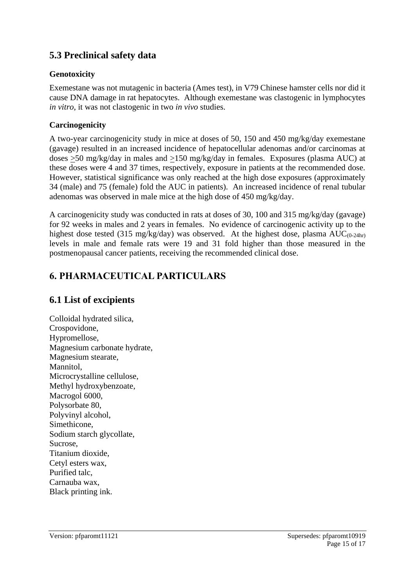# **5.3 Preclinical safety data**

### **Genotoxicity**

Exemestane was not mutagenic in bacteria (Ames test), in V79 Chinese hamster cells nor did it cause DNA damage in rat hepatocytes. Although exemestane was clastogenic in lymphocytes *in vitro*, it was not clastogenic in two *in vivo* studies.

### **Carcinogenicity**

A two-year carcinogenicity study in mice at doses of 50, 150 and 450 mg/kg/day exemestane (gavage) resulted in an increased incidence of hepatocellular adenomas and/or carcinomas at doses >50 mg/kg/day in males and >150 mg/kg/day in females. Exposures (plasma AUC) at these doses were 4 and 37 times, respectively, exposure in patients at the recommended dose. However, statistical significance was only reached at the high dose exposures (approximately 34 (male) and 75 (female) fold the AUC in patients). An increased incidence of renal tubular adenomas was observed in male mice at the high dose of 450 mg/kg/day.

A carcinogenicity study was conducted in rats at doses of 30, 100 and 315 mg/kg/day (gavage) for 92 weeks in males and 2 years in females. No evidence of carcinogenic activity up to the highest dose tested (315 mg/kg/day) was observed. At the highest dose, plasma  $AUC_{(0-24hr)}$ levels in male and female rats were 19 and 31 fold higher than those measured in the postmenopausal cancer patients, receiving the recommended clinical dose.

# **6. PHARMACEUTICAL PARTICULARS**

### **6.1 List of excipients**

Colloidal hydrated silica, Crospovidone, Hypromellose, Magnesium carbonate hydrate, Magnesium stearate, Mannitol, Microcrystalline cellulose, Methyl hydroxybenzoate, Macrogol 6000, Polysorbate 80, Polyvinyl alcohol, Simethicone, Sodium starch glycollate, Sucrose, Titanium dioxide, Cetyl esters wax, Purified talc, Carnauba wax, Black printing ink.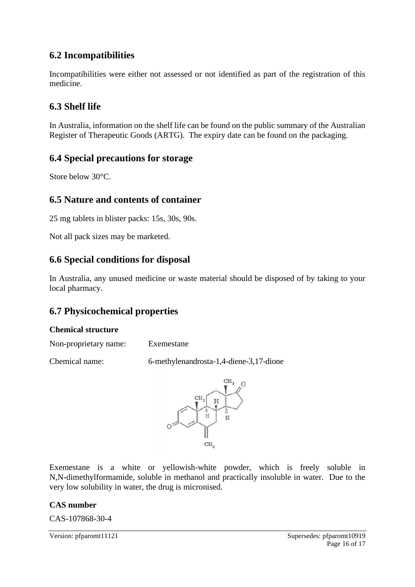# **6.2 Incompatibilities**

Incompatibilities were either not assessed or not identified as part of the registration of this medicine.

# **6.3 Shelf life**

In Australia, information on the shelf life can be found on the public summary of the Australian Register of Therapeutic Goods (ARTG). The expiry date can be found on the packaging.

### **6.4 Special precautions for storage**

Store below 30°C.

### **6.5 Nature and contents of container**

25 mg tablets in blister packs: 15s, 30s, 90s.

Not all pack sizes may be marketed.

### **6.6 Special conditions for disposal**

In Australia, any unused medicine or waste material should be disposed of by taking to your local pharmacy.

### **6.7 Physicochemical properties**

### **Chemical structure**

Non-proprietary name: Exemestane

Chemical name: 6-methylenandrosta-1,4-diene-3,17-dione



Exemestane is a white or yellowish-white powder, which is freely soluble in N,N-dimethylformamide, soluble in methanol and practically insoluble in water. Due to the very low solubility in water, the drug is micronised.

### **CAS number**

CAS-107868-30-4